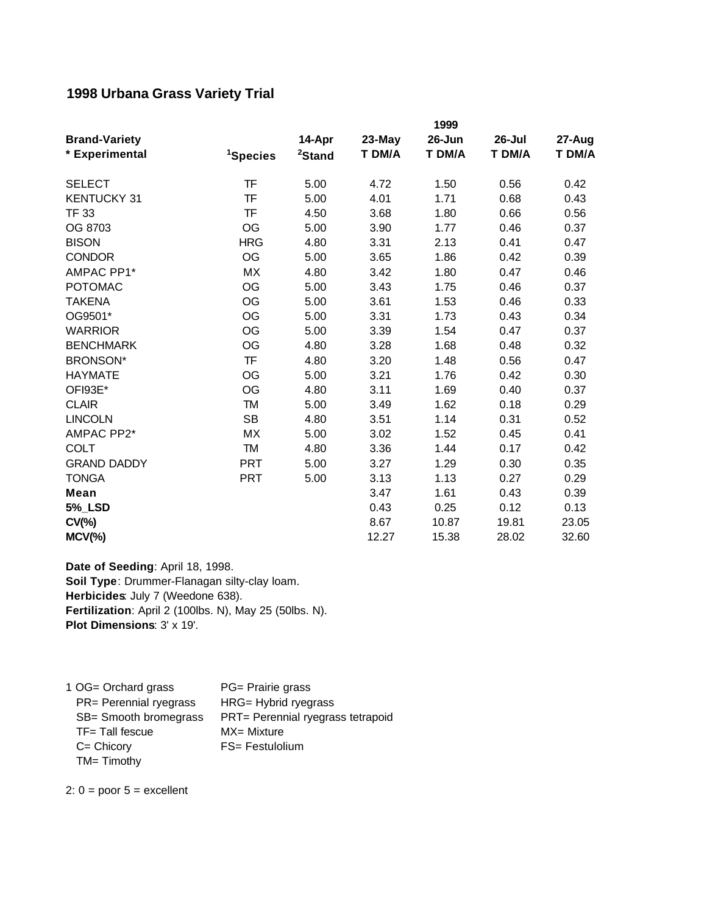## **1998 Urbana Grass Variety Trial**

|                      | 1999                 |                    |        |        |        |        |
|----------------------|----------------------|--------------------|--------|--------|--------|--------|
| <b>Brand-Variety</b> |                      | 14-Apr             | 23-May | 26-Jun | 26-Jul | 27-Aug |
| * Experimental       | <sup>1</sup> Species | <sup>2</sup> Stand | T DM/A | T DM/A | T DM/A | T DM/A |
| <b>SELECT</b>        | <b>TF</b>            | 5.00               | 4.72   | 1.50   | 0.56   | 0.42   |
| <b>KENTUCKY 31</b>   | TF                   | 5.00               | 4.01   | 1.71   | 0.68   | 0.43   |
| <b>TF 33</b>         | TF                   | 4.50               | 3.68   | 1.80   | 0.66   | 0.56   |
| OG 8703              | <b>OG</b>            | 5.00               | 3.90   | 1.77   | 0.46   | 0.37   |
| <b>BISON</b>         | <b>HRG</b>           | 4.80               | 3.31   | 2.13   | 0.41   | 0.47   |
| <b>CONDOR</b>        | OG                   | 5.00               | 3.65   | 1.86   | 0.42   | 0.39   |
| AMPAC PP1*           | <b>MX</b>            | 4.80               | 3.42   | 1.80   | 0.47   | 0.46   |
| <b>POTOMAC</b>       | <b>OG</b>            | 5.00               | 3.43   | 1.75   | 0.46   | 0.37   |
| TAKENA               | OG                   | 5.00               | 3.61   | 1.53   | 0.46   | 0.33   |
| OG9501*              | OG                   | 5.00               | 3.31   | 1.73   | 0.43   | 0.34   |
| <b>WARRIOR</b>       | OG                   | 5.00               | 3.39   | 1.54   | 0.47   | 0.37   |
| <b>BENCHMARK</b>     | OG                   | 4.80               | 3.28   | 1.68   | 0.48   | 0.32   |
| <b>BRONSON*</b>      | <b>TF</b>            | 4.80               | 3.20   | 1.48   | 0.56   | 0.47   |
| <b>HAYMATE</b>       | OG                   | 5.00               | 3.21   | 1.76   | 0.42   | 0.30   |
| OFI93E*              | OG                   | 4.80               | 3.11   | 1.69   | 0.40   | 0.37   |
| <b>CLAIR</b>         | <b>TM</b>            | 5.00               | 3.49   | 1.62   | 0.18   | 0.29   |
| <b>LINCOLN</b>       | <b>SB</b>            | 4.80               | 3.51   | 1.14   | 0.31   | 0.52   |
| AMPAC PP2*           | <b>MX</b>            | 5.00               | 3.02   | 1.52   | 0.45   | 0.41   |
| <b>COLT</b>          | <b>TM</b>            | 4.80               | 3.36   | 1.44   | 0.17   | 0.42   |
| <b>GRAND DADDY</b>   | <b>PRT</b>           | 5.00               | 3.27   | 1.29   | 0.30   | 0.35   |
| <b>TONGA</b>         | <b>PRT</b>           | 5.00               | 3.13   | 1.13   | 0.27   | 0.29   |
| Mean                 |                      |                    | 3.47   | 1.61   | 0.43   | 0.39   |
| <b>5% LSD</b>        |                      |                    | 0.43   | 0.25   | 0.12   | 0.13   |
| $CV(\% )$            |                      |                    | 8.67   | 10.87  | 19.81  | 23.05  |
| $MCV(\%)$            |                      |                    | 12.27  | 15.38  | 28.02  | 32.60  |

**Fertilization**: April 2 (100lbs. N), May 25 (50lbs. N). **Plot Dimensions**: 3' x 19'. **Date of Seeding**: April 18, 1998. **Soil Type**: Drummer-Flanagan silty-clay loam. **Herbicides**: July 7 (Weedone 638).

1 OG= Orchard grass PG= Prairie grass PR= Perennial ryegrass HRG= Hybrid ryegrass SB= Smooth bromegrass PRT= Perennial ryegrass tetrapoid TF= Tall fescue MX= Mixture C= Chicory FS= Festulolium TM= Timothy

2:  $0 =$  poor  $5 =$  excellent